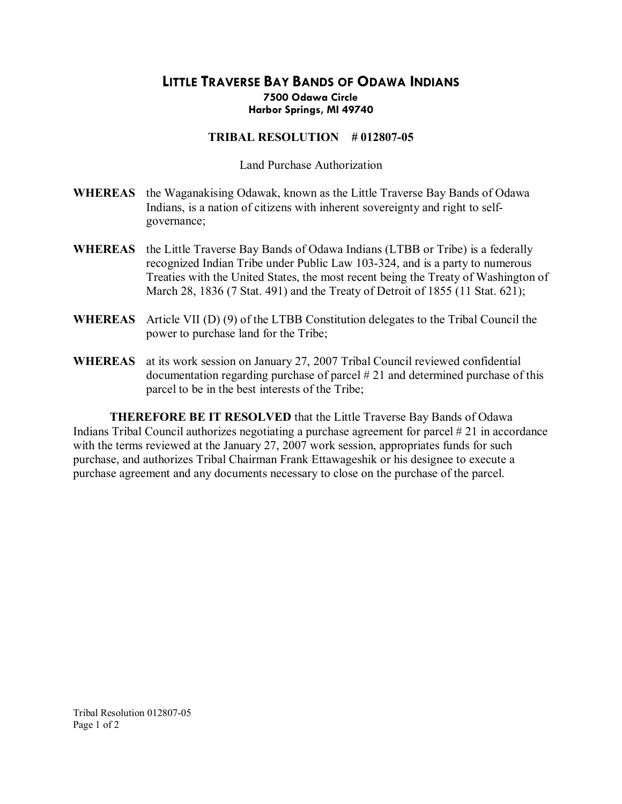## **LITTLE TRAVERSE BAY BANDS OF ODAWA INDIANS 7500 Odawa Circle Harbor Springs, MI 49740**

## **TRIBAL RESOLUTION #012807-05**

Land Purchase Authorization

- **WHEREAS** the Waganakising Odawak, known as the Little Traverse Bay Bands of Odawa Indians, is a nation of citizens with inherent sovereignty and right to self governance;
- **WHEREAS** the Little Traverse Bay Bands of Odawa Indians (LTBB or Tribe) is a federally recognized Indian Tribe under Public Law 103-324, and is a party to numerous Treaties with the United States, the most recent being the Treaty of Washington of March 28, 1836 (7 Stat. 491) and the Treaty of Detroit of 1855 (11 Stat. 621);
- **WHEREAS** Article VII (D) (9) of the LTBB Constitution delegates to the Tribal Council the power to purchase land for the Tribe;
- **WHEREAS** at its work session on January 27, 2007 Tribal Council reviewed confidential documentation regarding purchase of parcel # 21 and determined purchase of this parcel to be in the best interests of the Tribe;

**THEREFORE BE IT RESOLVED** that the Little Traverse Bay Bands of Odawa Indians Tribal Council authorizes negotiating a purchase agreement for parcel # 21 in accordance with the terms reviewed at the January 27, 2007 work session, appropriates funds for such purchase, and authorizes Tribal Chairman Frank Ettawageshik or his designee to execute a purchase agreement and any documents necessary to close on the purchase of the parcel.